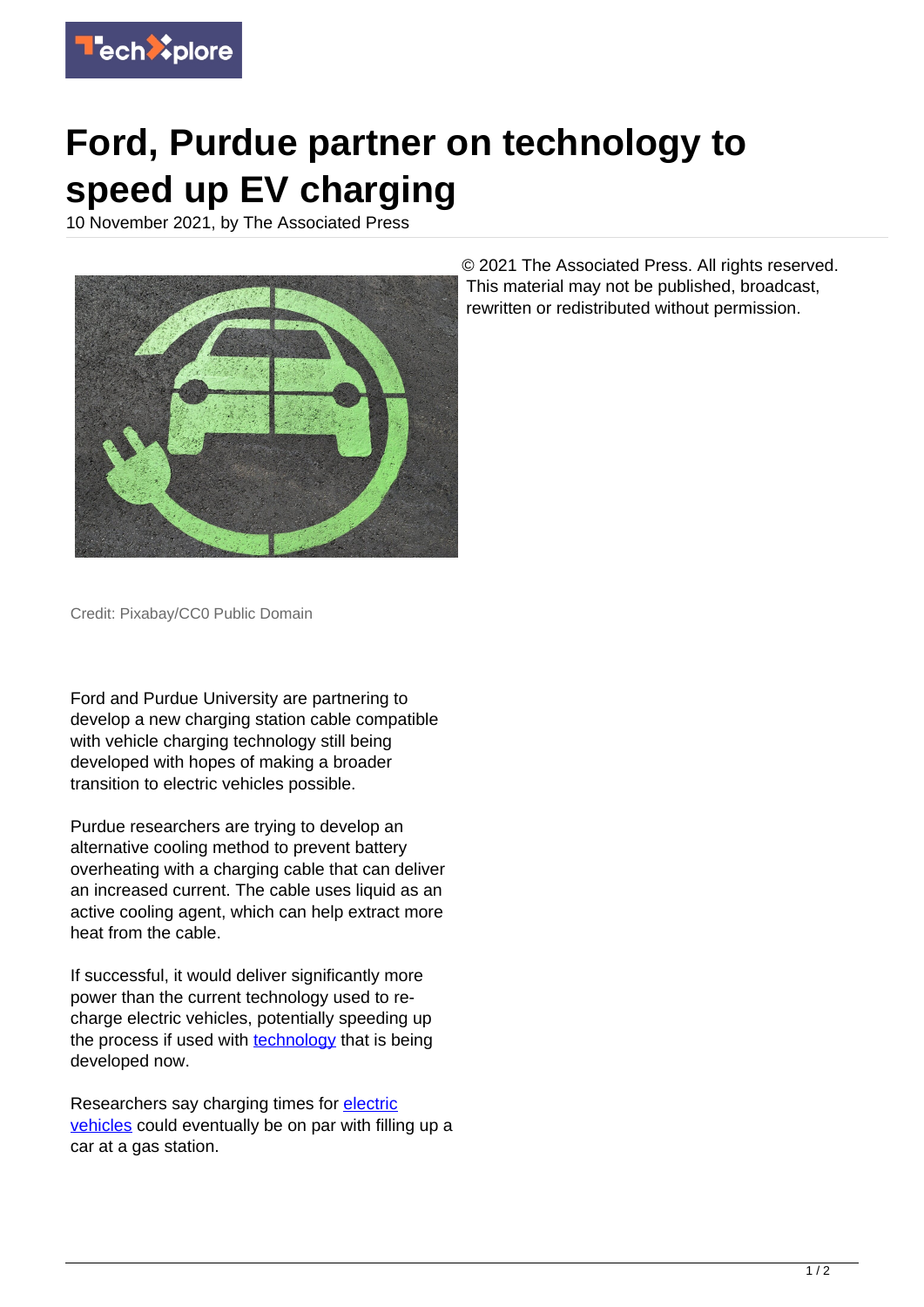

## **Ford, Purdue partner on technology to speed up EV charging**

10 November 2021, by The Associated Press



© 2021 The Associated Press. All rights reserved. This material may not be published, broadcast, rewritten or redistributed without permission.

Credit: Pixabay/CC0 Public Domain

Ford and Purdue University are partnering to develop a new charging station cable compatible with vehicle charging technology still being developed with hopes of making a broader transition to electric vehicles possible.

Purdue researchers are trying to develop an alternative cooling method to prevent battery overheating with a charging cable that can deliver an increased current. The cable uses liquid as an active cooling agent, which can help extract more heat from the cable.

If successful, it would deliver significantly more power than the current technology used to recharge electric vehicles, potentially speeding up the process if used with [technology](https://techxplore.com/tags/technology/) that is being developed now.

Researchers say charging times for **electric** [vehicles](https://techxplore.com/tags/electric+vehicles/) could eventually be on par with filling up a car at a gas station.